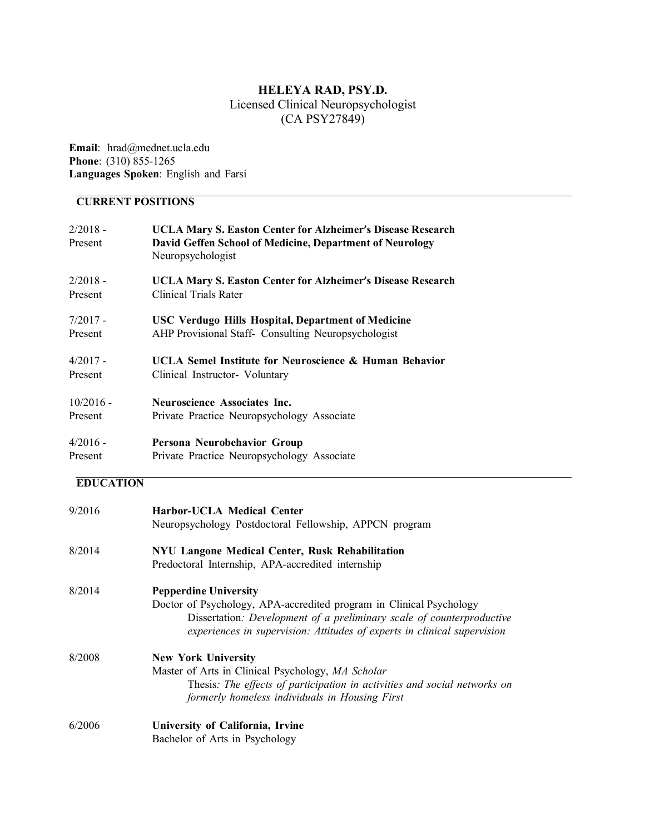# **HELEYA RAD, PSY.D.**

# Licensed Clinical Neuropsychologist (CA PSY27849)

**Email**: hrad@mednet.ucla.edu **Phone**: (310) 855-1265 **Languages Spoken**: English and Farsi

# **CURRENT POSITIONS**

| $2/2018 -$<br>Present | <b>UCLA Mary S. Easton Center for Alzheimer's Disease Research</b><br>David Geffen School of Medicine, Department of Neurology<br>Neuropsychologist |
|-----------------------|-----------------------------------------------------------------------------------------------------------------------------------------------------|
| $2/2018 -$            | <b>UCLA Mary S. Easton Center for Alzheimer's Disease Research</b>                                                                                  |
| Present               | Clinical Trials Rater                                                                                                                               |
| $7/2017 -$            | <b>USC Verdugo Hills Hospital, Department of Medicine</b>                                                                                           |
| Present               | AHP Provisional Staff- Consulting Neuropsychologist                                                                                                 |
| $4/2017 -$            | UCLA Semel Institute for Neuroscience & Human Behavior                                                                                              |
| Present               | Clinical Instructor- Voluntary                                                                                                                      |
| $10/2016$ -           | <b>Neuroscience Associates Inc.</b>                                                                                                                 |
| Present               | Private Practice Neuropsychology Associate                                                                                                          |
| $4/2016 -$            | Persona Neurobehavior Group                                                                                                                         |

Present Private Practice Neuropsychology Associate

# **EDUCATION**

| 9/2016 | <b>Harbor-UCLA Medical Center</b>                                         |
|--------|---------------------------------------------------------------------------|
|        | Neuropsychology Postdoctoral Fellowship, APPCN program                    |
| 8/2014 | NYU Langone Medical Center, Rusk Rehabilitation                           |
|        | Predoctoral Internship, APA-accredited internship                         |
| 8/2014 | <b>Pepperdine University</b>                                              |
|        | Doctor of Psychology, APA-accredited program in Clinical Psychology       |
|        | Dissertation: Development of a preliminary scale of counterproductive     |
|        | experiences in supervision: Attitudes of experts in clinical supervision  |
| 8/2008 | <b>New York University</b>                                                |
|        | Master of Arts in Clinical Psychology, MA Scholar                         |
|        | Thesis: The effects of participation in activities and social networks on |
|        | formerly homeless individuals in Housing First                            |
| 6/2006 | University of California, Irvine                                          |
|        | Bachelor of Arts in Psychology                                            |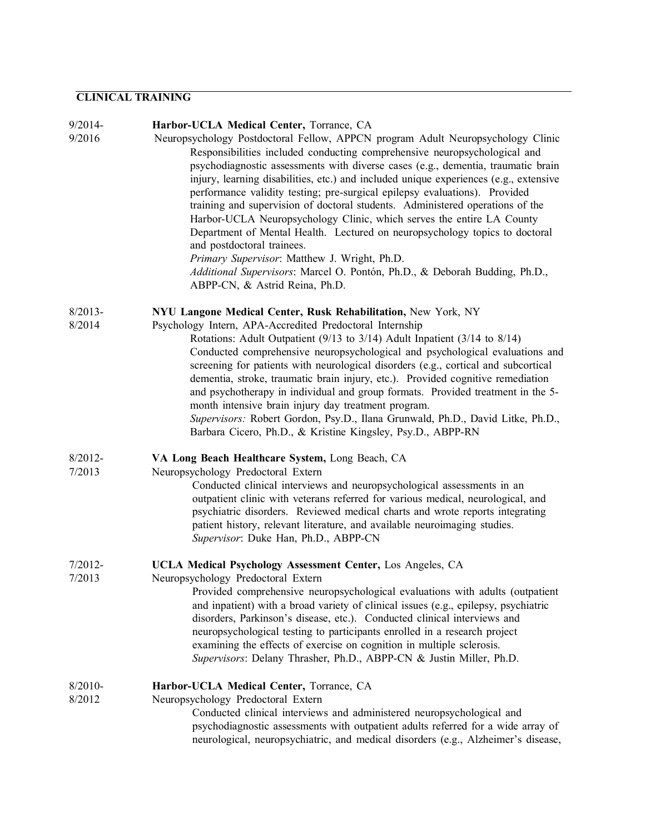#### **CLINICAL TRAINING**

#### 9/2014- **Harbor-UCLA Medical Center,** Torrance, CA

9/2016 Neuropsychology Postdoctoral Fellow, APPCN program Adult Neuropsychology Clinic Responsibilities included conducting comprehensive neuropsychological and psychodiagnostic assessments with diverse cases (e.g., dementia, traumatic brain injury, learning disabilities, etc.) and included unique experiences (e.g., extensive performance validity testing; pre-surgical epilepsy evaluations). Provided training and supervision of doctoral students. Administered operations of the Harbor-UCLA Neuropsychology Clinic, which serves the entire LA County Department of Mental Health. Lectured on neuropsychology topics to doctoral and postdoctoral trainees. *Primary Supervisor*: Matthew J. Wright, Ph.D. *Additional Supervisors*: Marcel O. Pontón, Ph.D., & Deborah Budding, Ph.D., ABPP-CN, & Astrid Reina, Ph.D.

#### 8/2013- **NYU Langone Medical Center, Rusk Rehabilitation,** New York, NY

- 8/2014 Psychology Intern, APA-Accredited Predoctoral Internship
- Rotations: Adult Outpatient (9/13 to 3/14) Adult Inpatient (3/14 to 8/14) Conducted comprehensive neuropsychological and psychological evaluations and screening for patients with neurological disorders (e.g., cortical and subcortical dementia, stroke, traumatic brain injury, etc.). Provided cognitive remediation and psychotherapy in individual and group formats. Provided treatment in the 5 month intensive brain injury day treatment program. *Supervisors:* Robert Gordon, Psy.D., Ilana Grunwald, Ph.D., David Litke, Ph.D., Barbara Cicero, Ph.D., & Kristine Kingsley, Psy.D., ABPP-RN
- 8/2012- **VA Long Beach Healthcare System,** Long Beach, CA
- 7/2013 Neuropsychology Predoctoral Extern

Conducted clinical interviews and neuropsychological assessments in an outpatient clinic with veterans referred for various medical, neurological, and psychiatric disorders. Reviewed medical charts and wrote reports integrating patient history, relevant literature, and available neuroimaging studies. *Supervisor*: Duke Han, Ph.D., ABPP-CN

#### 7/2012- **UCLA Medical Psychology Assessment Center,** Los Angeles, CA

7/2013 Neuropsychology Predoctoral Extern

Provided comprehensive neuropsychological evaluations with adults (outpatient and inpatient) with a broad variety of clinical issues (e.g., epilepsy, psychiatric disorders, Parkinson's disease, etc.). Conducted clinical interviews and neuropsychological testing to participants enrolled in a research project examining the effects of exercise on cognition in multiple sclerosis. *Supervisors*: Delany Thrasher, Ph.D., ABPP-CN & Justin Miller, Ph.D.

#### 8/2010- **Harbor-UCLA Medical Center,** Torrance, CA

8/2012 Neuropsychology Predoctoral Extern

Conducted clinical interviews and administered neuropsychological and psychodiagnostic assessments with outpatient adults referred for a wide array of neurological, neuropsychiatric, and medical disorders (e.g., Alzheimer's disease,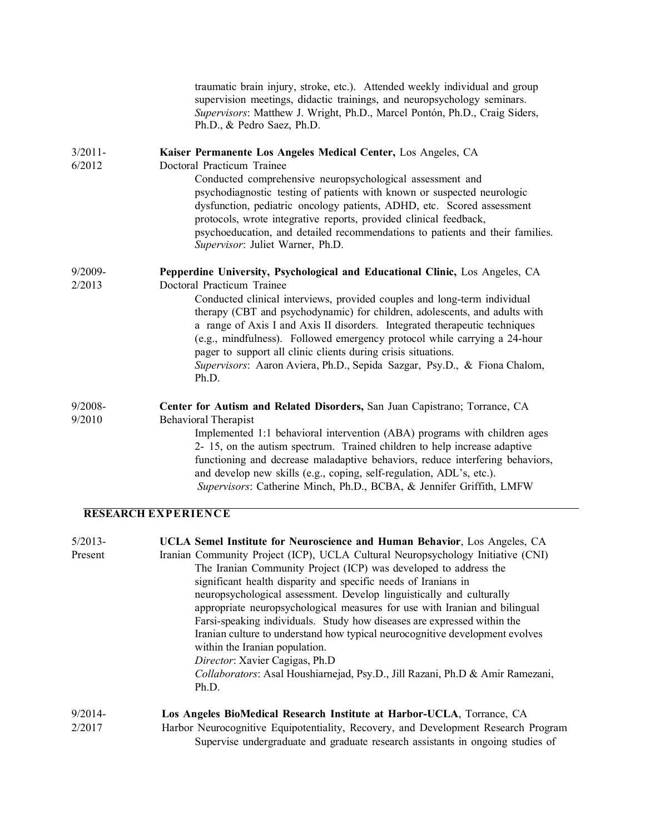traumatic brain injury, stroke, etc.). Attended weekly individual and group supervision meetings, didactic trainings, and neuropsychology seminars. *Supervisors*: Matthew J. Wright, Ph.D., Marcel Pontón, Ph.D., Craig Siders, Ph.D., & Pedro Saez, Ph.D.

#### 3/2011- **Kaiser Permanente Los Angeles Medical Center,** Los Angeles, CA

6/2012 Doctoral Practicum Trainee Conducted comprehensive neuropsychological assessment and psychodiagnostic testing of patients with known or suspected neurologic dysfunction, pediatric oncology patients, ADHD, etc. Scored assessment protocols, wrote integrative reports, provided clinical feedback, psychoeducation, and detailed recommendations to patients and their families. *Supervisor*: Juliet Warner, Ph.D.

# 9/2009- **Pepperdine University, Psychological and Educational Clinic,** Los Angeles, CA

2/2013 Doctoral Practicum Trainee

Conducted clinical interviews, provided couples and long-term individual therapy (CBT and psychodynamic) for children, adolescents, and adults with a range of Axis I and Axis II disorders. Integrated therapeutic techniques (e.g., mindfulness). Followed emergency protocol while carrying a 24-hour pager to support all clinic clients during crisis situations. *Supervisors*: Aaron Aviera, Ph.D., Sepida Sazgar, Psy.D., & Fiona Chalom, Ph.D.

# 9/2008- **Center for Autism and Related Disorders,** San Juan Capistrano; Torrance, CA

9/2010 Behavioral Therapist

Implemented 1:1 behavioral intervention (ABA) programs with children ages 2- 15, on the autism spectrum. Trained children to help increase adaptive functioning and decrease maladaptive behaviors, reduce interfering behaviors, and develop new skills (e.g., coping, self-regulation, ADL's, etc.). *Supervisors*: Catherine Minch, Ph.D., BCBA, & Jennifer Griffith, LMFW

## **RESEARCH EXPERIENCE**

| $5/2013-$ | UCLA Semel Institute for Neuroscience and Human Behavior, Los Angeles, CA       |
|-----------|---------------------------------------------------------------------------------|
| Present   | Iranian Community Project (ICP), UCLA Cultural Neuropsychology Initiative (CNI) |
|           | The Iranian Community Project (ICP) was developed to address the                |
|           | significant health disparity and specific needs of Iranians in                  |
|           | neuropsychological assessment. Develop linguistically and culturally            |
|           | appropriate neuropsychological measures for use with Iranian and bilingual      |
|           | Farsi-speaking individuals. Study how diseases are expressed within the         |
|           | Iranian culture to understand how typical neurocognitive development evolves    |
|           | within the Iranian population.                                                  |
|           | Director: Xavier Cagigas, Ph.D                                                  |
|           | Collaborators: Asal Houshiarnejad, Psy.D., Jill Razani, Ph.D & Amir Ramezani,   |
|           | Ph.D.                                                                           |
| $9/2014-$ | Los Angeles BioMedical Research Institute at Harbor-UCLA, Torrance, CA          |

2/2017 Harbor Neurocognitive Equipotentiality, Recovery, and Development Research Program Supervise undergraduate and graduate research assistants in ongoing studies of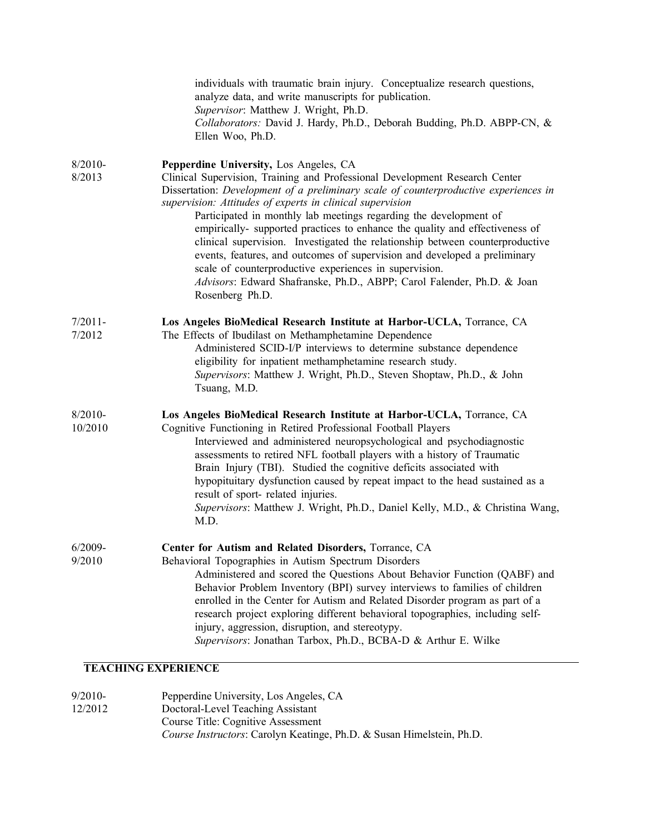|                       | individuals with traumatic brain injury. Conceptualize research questions,<br>analyze data, and write manuscripts for publication.<br>Supervisor: Matthew J. Wright, Ph.D.<br>Collaborators: David J. Hardy, Ph.D., Deborah Budding, Ph.D. ABPP-CN, &<br>Ellen Woo, Ph.D.                                                                                                                                                                                                                                                                                                                                                                                                                                                                            |
|-----------------------|------------------------------------------------------------------------------------------------------------------------------------------------------------------------------------------------------------------------------------------------------------------------------------------------------------------------------------------------------------------------------------------------------------------------------------------------------------------------------------------------------------------------------------------------------------------------------------------------------------------------------------------------------------------------------------------------------------------------------------------------------|
| $8/2010 -$<br>8/2013  | Pepperdine University, Los Angeles, CA<br>Clinical Supervision, Training and Professional Development Research Center<br>Dissertation: Development of a preliminary scale of counterproductive experiences in<br>supervision: Attitudes of experts in clinical supervision<br>Participated in monthly lab meetings regarding the development of<br>empirically- supported practices to enhance the quality and effectiveness of<br>clinical supervision. Investigated the relationship between counterproductive<br>events, features, and outcomes of supervision and developed a preliminary<br>scale of counterproductive experiences in supervision.<br>Advisors: Edward Shafranske, Ph.D., ABPP; Carol Falender, Ph.D. & Joan<br>Rosenberg Ph.D. |
| $7/2011 -$<br>7/2012  | Los Angeles BioMedical Research Institute at Harbor-UCLA, Torrance, CA<br>The Effects of Ibudilast on Methamphetamine Dependence<br>Administered SCID-I/P interviews to determine substance dependence<br>eligibility for inpatient methamphetamine research study.<br>Supervisors: Matthew J. Wright, Ph.D., Steven Shoptaw, Ph.D., & John<br>Tsuang, M.D.                                                                                                                                                                                                                                                                                                                                                                                          |
| $8/2010 -$<br>10/2010 | Los Angeles BioMedical Research Institute at Harbor-UCLA, Torrance, CA<br>Cognitive Functioning in Retired Professional Football Players<br>Interviewed and administered neuropsychological and psychodiagnostic<br>assessments to retired NFL football players with a history of Traumatic<br>Brain Injury (TBI). Studied the cognitive deficits associated with<br>hypopituitary dysfunction caused by repeat impact to the head sustained as a<br>result of sport- related injuries.<br>Supervisors: Matthew J. Wright, Ph.D., Daniel Kelly, M.D., & Christina Wang,<br>M.D.                                                                                                                                                                      |
| $6/2009 -$<br>9/2010  | Center for Autism and Related Disorders, Torrance, CA<br>Behavioral Topographies in Autism Spectrum Disorders<br>Administered and scored the Questions About Behavior Function (QABF) and<br>Behavior Problem Inventory (BPI) survey interviews to families of children<br>enrolled in the Center for Autism and Related Disorder program as part of a<br>research project exploring different behavioral topographies, including self-<br>injury, aggression, disruption, and stereotypy.<br>Supervisors: Jonathan Tarbox, Ph.D., BCBA-D & Arthur E. Wilke<br><b>TEL CHINA EVAPDIBMAD</b>                                                                                                                                                           |

## **TEACHING EXPERIENCE**

| $9/2010-$ | Pepperdine University, Los Angeles, CA                                |
|-----------|-----------------------------------------------------------------------|
| 12/2012   | Doctoral-Level Teaching Assistant                                     |
|           | Course Title: Cognitive Assessment                                    |
|           | Course Instructors: Carolyn Keatinge, Ph.D. & Susan Himelstein, Ph.D. |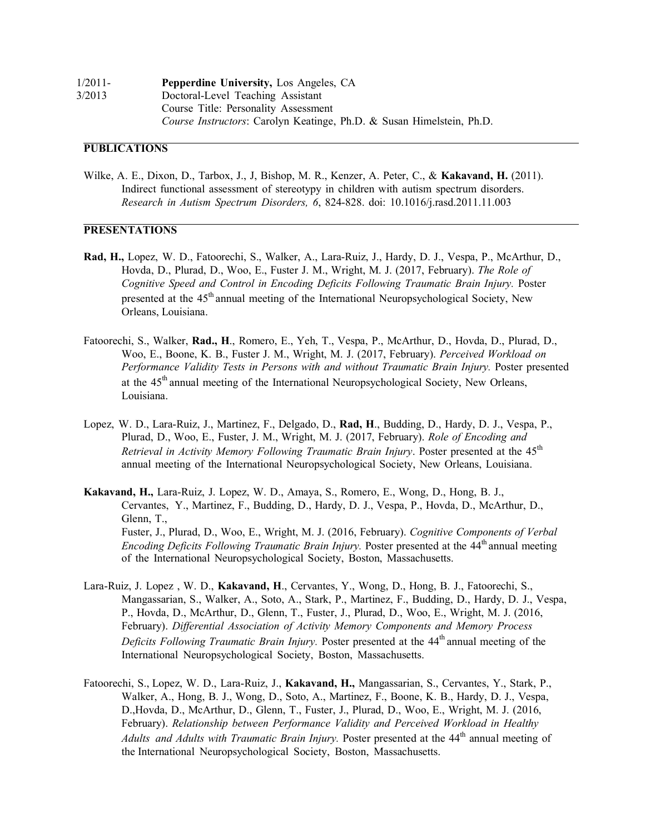| $1/2011-$ | <b>Pepperdine University, Los Angeles, CA</b>                         |
|-----------|-----------------------------------------------------------------------|
| 3/2013    | Doctoral-Level Teaching Assistant                                     |
|           | Course Title: Personality Assessment                                  |
|           | Course Instructors: Carolyn Keatinge, Ph.D. & Susan Himelstein, Ph.D. |

#### **PUBLICATIONS**

Wilke, A. E., Dixon, D., Tarbox, J., J, Bishop, M. R., Kenzer, A. Peter, C., & **Kakavand, H.** (2011). Indirect functional assessment of stereotypy in children with autism spectrum disorders. *Research in Autism Spectrum Disorders, 6*, 824-828. doi: 10.1016/j.rasd.2011.11.003

#### **PRESENTATIONS**

- **Rad, H.,** Lopez, W. D., Fatoorechi, S., Walker, A., Lara-Ruiz, J., Hardy, D. J., Vespa, P., McArthur, D., Hovda, D., Plurad, D., Woo, E., Fuster J. M., Wright, M. J. (2017, February). *The Role of Cognitive Speed and Control in Encoding Deficits Following Traumatic Brain Injury.* Poster presented at the 45<sup>th</sup> annual meeting of the International Neuropsychological Society, New Orleans, Louisiana.
- Fatoorechi, S., Walker, **Rad., H**., Romero, E., Yeh, T., Vespa, P., McArthur, D., Hovda, D., Plurad, D., Woo, E., Boone, K. B., Fuster J. M., Wright, M. J. (2017, February). *Perceived Workload on Performance Validity Tests in Persons with and without Traumatic Brain Injury.* Poster presented at the 45<sup>th</sup> annual meeting of the International Neuropsychological Society, New Orleans, Louisiana.
- Lopez, W. D., Lara-Ruiz, J., Martinez, F., Delgado, D., **Rad, H**., Budding, D., Hardy, D. J., Vespa, P., Plurad, D., Woo, E., Fuster, J. M., Wright, M. J. (2017, February). *Role of Encoding and Retrieval in Activity Memory Following Traumatic Brain Injury*. Poster presented at the 45<sup>th</sup> annual meeting of the International Neuropsychological Society, New Orleans, Louisiana.
- **Kakavand, H.,** Lara-Ruiz, J. Lopez, W. D., Amaya, S., Romero, E., Wong, D., Hong, B. J., Cervantes, Y., Martinez, F., Budding, D., Hardy, D. J., Vespa, P., Hovda, D., McArthur, D., Glenn, T., Fuster, J., Plurad, D., Woo, E., Wright, M. J. (2016, February). *Cognitive Components of Verbal Encoding Deficits Following Traumatic Brain Injury.* Poster presented at the 44th annual meeting of the International Neuropsychological Society, Boston, Massachusetts.
- Lara-Ruiz, J. Lopez , W. D., **Kakavand, H**., Cervantes, Y., Wong, D., Hong, B. J., Fatoorechi, S., Mangassarian, S., Walker, A., Soto, A., Stark, P., Martinez, F., Budding, D., Hardy, D. J., Vespa, P., Hovda, D., McArthur, D., Glenn, T., Fuster, J., Plurad, D., Woo, E., Wright, M. J. (2016, February). *Differential Association of Activity Memory Components and Memory Process Deficits Following Traumatic Brain Injury*. Poster presented at the 44<sup>th</sup> annual meeting of the International Neuropsychological Society, Boston, Massachusetts.
- Fatoorechi, S., Lopez, W. D., Lara-Ruiz, J., **Kakavand, H.,** Mangassarian, S., Cervantes, Y., Stark, P., Walker, A., Hong, B. J., Wong, D., Soto, A., Martinez, F., Boone, K. B., Hardy, D. J., Vespa, D.,Hovda, D., McArthur, D., Glenn, T., Fuster, J., Plurad, D., Woo, E., Wright, M. J. (2016, February). *Relationship between Performance Validity and Perceived Workload in Healthy Adults* and *Adults* with *Traumatic Brain Injury*. Poster presented at the 44<sup>th</sup> annual meeting of the International Neuropsychological Society, Boston, Massachusetts.